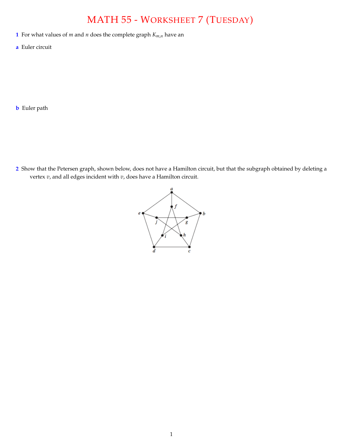## MATH 55 - WORKSHEET 7 (TUESDAY)

- **1** For what values of *m* and *n* does the complete graph  $K_{m,n}$  have an
- **a** Euler circuit

**b** Euler path

**2** Show that the Petersen graph, shown below, does not have a Hamilton circuit, but that the subgraph obtained by deleting a vertex *v*, and all edges incident with *v*, does have a Hamilton circuit.

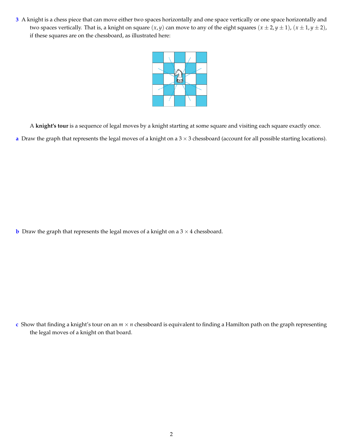**3** A knight is a chess piece that can move either two spaces horizontally and one space vertically or one space horizontally and two spaces vertically. That is, a knight on square  $(x, y)$  can move to any of the eight squares  $(x \pm 2, y \pm 1)$ ,  $(x \pm 1, y \pm 2)$ , if these squares are on the chessboard, as illustrated here:



A **knight's tour** is a sequence of legal moves by a knight starting at some square and visiting each square exactly once. **a** Draw the graph that represents the legal moves of a knight on a  $3 \times 3$  chessboard (account for all possible starting locations).

**b** Draw the graph that represents the legal moves of a knight on a  $3 \times 4$  chessboard.

**c** Show that finding a knight's tour on an  $m \times n$  chessboard is equivalent to finding a Hamilton path on the graph representing the legal moves of a knight on that board.